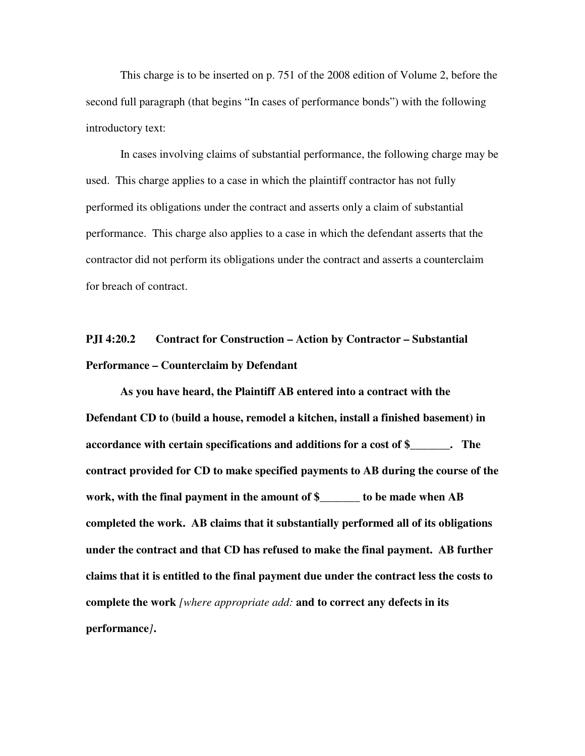This charge is to be inserted on p. 751 of the 2008 edition of Volume 2, before the second full paragraph (that begins "In cases of performance bonds") with the following introductory text:

 In cases involving claims of substantial performance, the following charge may be used. This charge applies to a case in which the plaintiff contractor has not fully performed its obligations under the contract and asserts only a claim of substantial performance. This charge also applies to a case in which the defendant asserts that the contractor did not perform its obligations under the contract and asserts a counterclaim for breach of contract.

## **PJI 4:20.2 Contract for Construction – Action by Contractor – Substantial Performance – Counterclaim by Defendant**

**As you have heard, the Plaintiff AB entered into a contract with the Defendant CD to (build a house, remodel a kitchen, install a finished basement) in accordance with certain specifications and additions for a cost of \$\_\_\_\_\_\_\_. The contract provided for CD to make specified payments to AB during the course of the work, with the final payment in the amount of \$\_\_\_\_\_\_\_ to be made when AB completed the work. AB claims that it substantially performed all of its obligations under the contract and that CD has refused to make the final payment. AB further claims that it is entitled to the final payment due under the contract less the costs to complete the work** *[where appropriate add:* **and to correct any defects in its performance***]***.**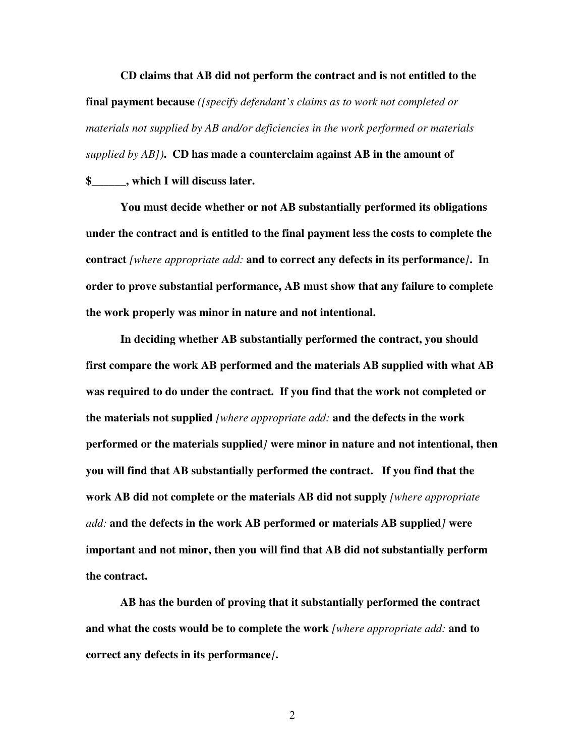**CD claims that AB did not perform the contract and is not entitled to the final payment because** *([specify defendant's claims as to work not completed or materials not supplied by AB and/or deficiencies in the work performed or materials supplied by AB])***. CD has made a counterclaim against AB in the amount of \$\_\_\_\_\_\_, which I will discuss later.** 

**You must decide whether or not AB substantially performed its obligations under the contract and is entitled to the final payment less the costs to complete the contract** *[where appropriate add:* **and to correct any defects in its performance***]***. In order to prove substantial performance, AB must show that any failure to complete the work properly was minor in nature and not intentional.** 

**In deciding whether AB substantially performed the contract, you should first compare the work AB performed and the materials AB supplied with what AB was required to do under the contract. If you find that the work not completed or the materials not supplied** *[where appropriate add:* **and the defects in the work performed or the materials supplied***]* **were minor in nature and not intentional, then you will find that AB substantially performed the contract. If you find that the work AB did not complete or the materials AB did not supply** *[where appropriate add:* **and the defects in the work AB performed or materials AB supplied***]* **were important and not minor, then you will find that AB did not substantially perform the contract.** 

**AB has the burden of proving that it substantially performed the contract and what the costs would be to complete the work** *[where appropriate add:* **and to correct any defects in its performance***]***.** 

2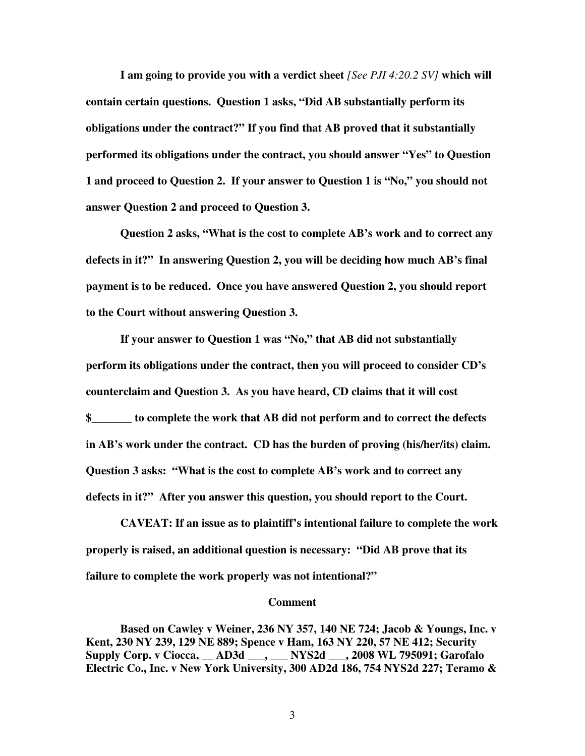**I am going to provide you with a verdict sheet** *[See PJI 4:20.2 SV]* **which will contain certain questions. Question 1 asks, "Did AB substantially perform its obligations under the contract?" If you find that AB proved that it substantially performed its obligations under the contract, you should answer "Yes" to Question 1 and proceed to Question 2. If your answer to Question 1 is "No," you should not answer Question 2 and proceed to Question 3.** 

**Question 2 asks, "What is the cost to complete AB's work and to correct any defects in it?" In answering Question 2, you will be deciding how much AB's final payment is to be reduced. Once you have answered Question 2, you should report to the Court without answering Question 3.** 

**If your answer to Question 1 was "No," that AB did not substantially perform its obligations under the contract, then you will proceed to consider CD's counterclaim and Question 3. As you have heard, CD claims that it will cost \$\_\_\_\_\_\_\_ to complete the work that AB did not perform and to correct the defects in AB's work under the contract. CD has the burden of proving (his/her/its) claim. Question 3 asks: "What is the cost to complete AB's work and to correct any defects in it?" After you answer this question, you should report to the Court.** 

**CAVEAT: If an issue as to plaintiff's intentional failure to complete the work properly is raised, an additional question is necessary: "Did AB prove that its failure to complete the work properly was not intentional?"** 

## **Comment**

 **Based on Cawley v Weiner, 236 NY 357, 140 NE 724; Jacob & Youngs, Inc. v Kent, 230 NY 239, 129 NE 889; Spence v Ham, 163 NY 220, 57 NE 412; Security Supply Corp. v Ciocca, \_\_ AD3d \_\_\_, \_\_\_ NYS2d \_\_\_, 2008 WL 795091; Garofalo Electric Co., Inc. v New York University, 300 AD2d 186, 754 NYS2d 227; Teramo &** 

3